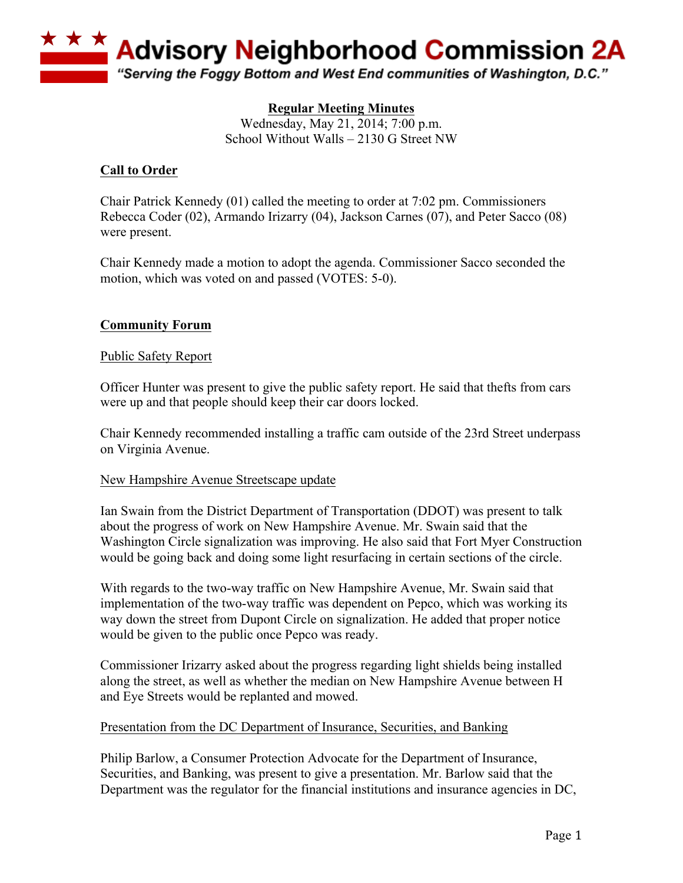

# **Regular Meeting Minutes**

Wednesday, May 21, 2014; 7:00 p.m. School Without Walls – 2130 G Street NW

# **Call to Order**

Chair Patrick Kennedy (01) called the meeting to order at 7:02 pm. Commissioners Rebecca Coder (02), Armando Irizarry (04), Jackson Carnes (07), and Peter Sacco (08) were present.

Chair Kennedy made a motion to adopt the agenda. Commissioner Sacco seconded the motion, which was voted on and passed (VOTES: 5-0).

# **Community Forum**

### Public Safety Report

Officer Hunter was present to give the public safety report. He said that thefts from cars were up and that people should keep their car doors locked.

Chair Kennedy recommended installing a traffic cam outside of the 23rd Street underpass on Virginia Avenue.

#### New Hampshire Avenue Streetscape update

Ian Swain from the District Department of Transportation (DDOT) was present to talk about the progress of work on New Hampshire Avenue. Mr. Swain said that the Washington Circle signalization was improving. He also said that Fort Myer Construction would be going back and doing some light resurfacing in certain sections of the circle.

With regards to the two-way traffic on New Hampshire Avenue, Mr. Swain said that implementation of the two-way traffic was dependent on Pepco, which was working its way down the street from Dupont Circle on signalization. He added that proper notice would be given to the public once Pepco was ready.

Commissioner Irizarry asked about the progress regarding light shields being installed along the street, as well as whether the median on New Hampshire Avenue between H and Eye Streets would be replanted and mowed.

### Presentation from the DC Department of Insurance, Securities, and Banking

Philip Barlow, a Consumer Protection Advocate for the Department of Insurance, Securities, and Banking, was present to give a presentation. Mr. Barlow said that the Department was the regulator for the financial institutions and insurance agencies in DC,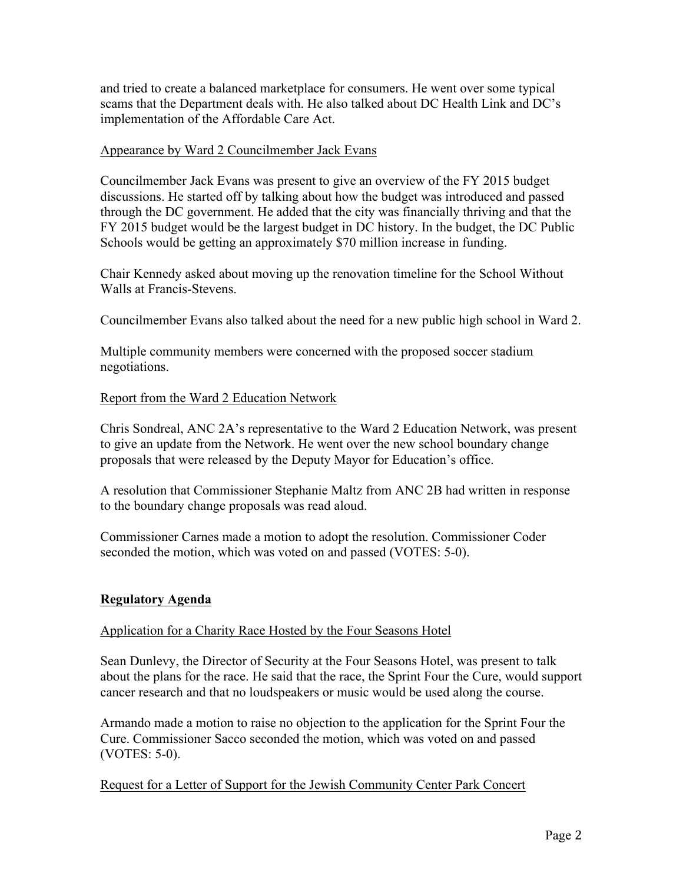and tried to create a balanced marketplace for consumers. He went over some typical scams that the Department deals with. He also talked about DC Health Link and DC's implementation of the Affordable Care Act.

# Appearance by Ward 2 Councilmember Jack Evans

Councilmember Jack Evans was present to give an overview of the FY 2015 budget discussions. He started off by talking about how the budget was introduced and passed through the DC government. He added that the city was financially thriving and that the FY 2015 budget would be the largest budget in DC history. In the budget, the DC Public Schools would be getting an approximately \$70 million increase in funding.

Chair Kennedy asked about moving up the renovation timeline for the School Without Walls at Francis-Stevens.

Councilmember Evans also talked about the need for a new public high school in Ward 2.

Multiple community members were concerned with the proposed soccer stadium negotiations.

# Report from the Ward 2 Education Network

Chris Sondreal, ANC 2A's representative to the Ward 2 Education Network, was present to give an update from the Network. He went over the new school boundary change proposals that were released by the Deputy Mayor for Education's office.

A resolution that Commissioner Stephanie Maltz from ANC 2B had written in response to the boundary change proposals was read aloud.

Commissioner Carnes made a motion to adopt the resolution. Commissioner Coder seconded the motion, which was voted on and passed (VOTES: 5-0).

### **Regulatory Agenda**

### Application for a Charity Race Hosted by the Four Seasons Hotel

Sean Dunlevy, the Director of Security at the Four Seasons Hotel, was present to talk about the plans for the race. He said that the race, the Sprint Four the Cure, would support cancer research and that no loudspeakers or music would be used along the course.

Armando made a motion to raise no objection to the application for the Sprint Four the Cure. Commissioner Sacco seconded the motion, which was voted on and passed (VOTES: 5-0).

# Request for a Letter of Support for the Jewish Community Center Park Concert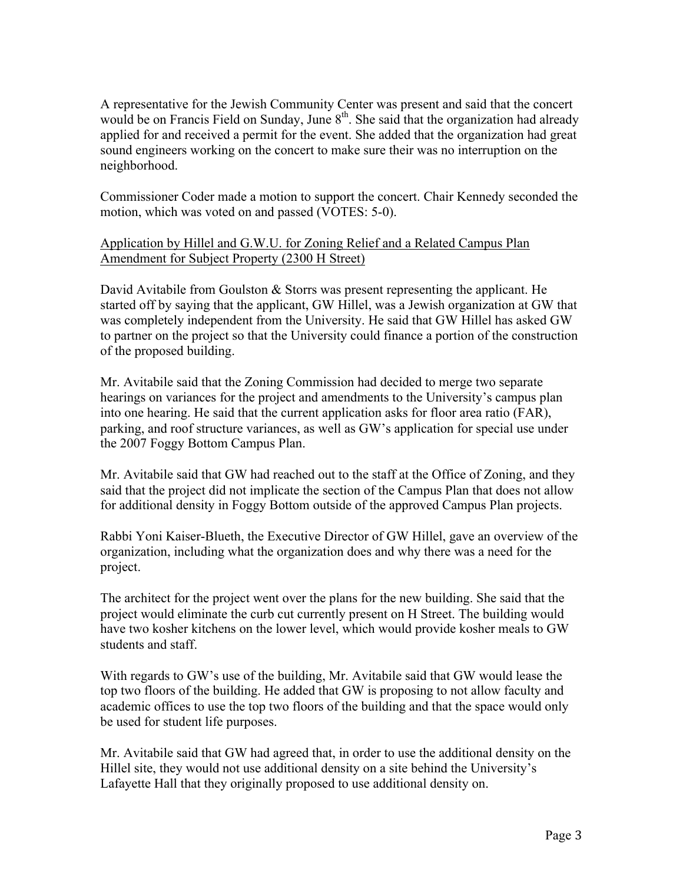A representative for the Jewish Community Center was present and said that the concert would be on Francis Field on Sunday, June 8<sup>th</sup>. She said that the organization had already applied for and received a permit for the event. She added that the organization had great sound engineers working on the concert to make sure their was no interruption on the neighborhood.

Commissioner Coder made a motion to support the concert. Chair Kennedy seconded the motion, which was voted on and passed (VOTES: 5-0).

# Application by Hillel and G.W.U. for Zoning Relief and a Related Campus Plan Amendment for Subject Property (2300 H Street)

David Avitabile from Goulston  $\&$  Storrs was present representing the applicant. He started off by saying that the applicant, GW Hillel, was a Jewish organization at GW that was completely independent from the University. He said that GW Hillel has asked GW to partner on the project so that the University could finance a portion of the construction of the proposed building.

Mr. Avitabile said that the Zoning Commission had decided to merge two separate hearings on variances for the project and amendments to the University's campus plan into one hearing. He said that the current application asks for floor area ratio (FAR), parking, and roof structure variances, as well as GW's application for special use under the 2007 Foggy Bottom Campus Plan.

Mr. Avitabile said that GW had reached out to the staff at the Office of Zoning, and they said that the project did not implicate the section of the Campus Plan that does not allow for additional density in Foggy Bottom outside of the approved Campus Plan projects.

Rabbi Yoni Kaiser-Blueth, the Executive Director of GW Hillel, gave an overview of the organization, including what the organization does and why there was a need for the project.

The architect for the project went over the plans for the new building. She said that the project would eliminate the curb cut currently present on H Street. The building would have two kosher kitchens on the lower level, which would provide kosher meals to GW students and staff.

With regards to GW's use of the building, Mr. Avitabile said that GW would lease the top two floors of the building. He added that GW is proposing to not allow faculty and academic offices to use the top two floors of the building and that the space would only be used for student life purposes.

Mr. Avitabile said that GW had agreed that, in order to use the additional density on the Hillel site, they would not use additional density on a site behind the University's Lafayette Hall that they originally proposed to use additional density on.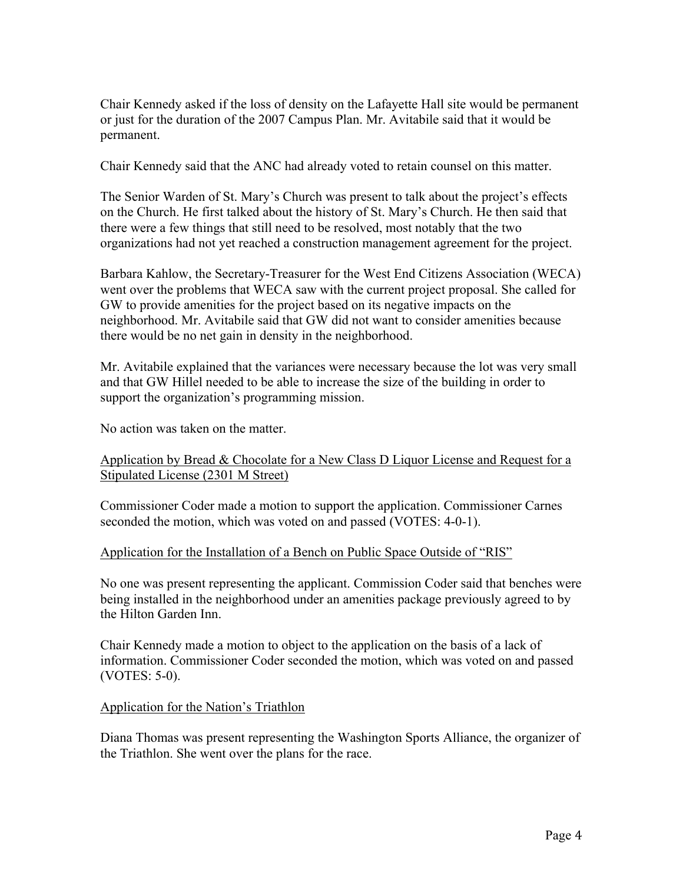Chair Kennedy asked if the loss of density on the Lafayette Hall site would be permanent or just for the duration of the 2007 Campus Plan. Mr. Avitabile said that it would be permanent.

Chair Kennedy said that the ANC had already voted to retain counsel on this matter.

The Senior Warden of St. Mary's Church was present to talk about the project's effects on the Church. He first talked about the history of St. Mary's Church. He then said that there were a few things that still need to be resolved, most notably that the two organizations had not yet reached a construction management agreement for the project.

Barbara Kahlow, the Secretary-Treasurer for the West End Citizens Association (WECA) went over the problems that WECA saw with the current project proposal. She called for GW to provide amenities for the project based on its negative impacts on the neighborhood. Mr. Avitabile said that GW did not want to consider amenities because there would be no net gain in density in the neighborhood.

Mr. Avitabile explained that the variances were necessary because the lot was very small and that GW Hillel needed to be able to increase the size of the building in order to support the organization's programming mission.

No action was taken on the matter.

### Application by Bread & Chocolate for a New Class D Liquor License and Request for a Stipulated License (2301 M Street)

Commissioner Coder made a motion to support the application. Commissioner Carnes seconded the motion, which was voted on and passed (VOTES: 4-0-1).

### Application for the Installation of a Bench on Public Space Outside of "RIS"

No one was present representing the applicant. Commission Coder said that benches were being installed in the neighborhood under an amenities package previously agreed to by the Hilton Garden Inn.

Chair Kennedy made a motion to object to the application on the basis of a lack of information. Commissioner Coder seconded the motion, which was voted on and passed (VOTES: 5-0).

#### Application for the Nation's Triathlon

Diana Thomas was present representing the Washington Sports Alliance, the organizer of the Triathlon. She went over the plans for the race.